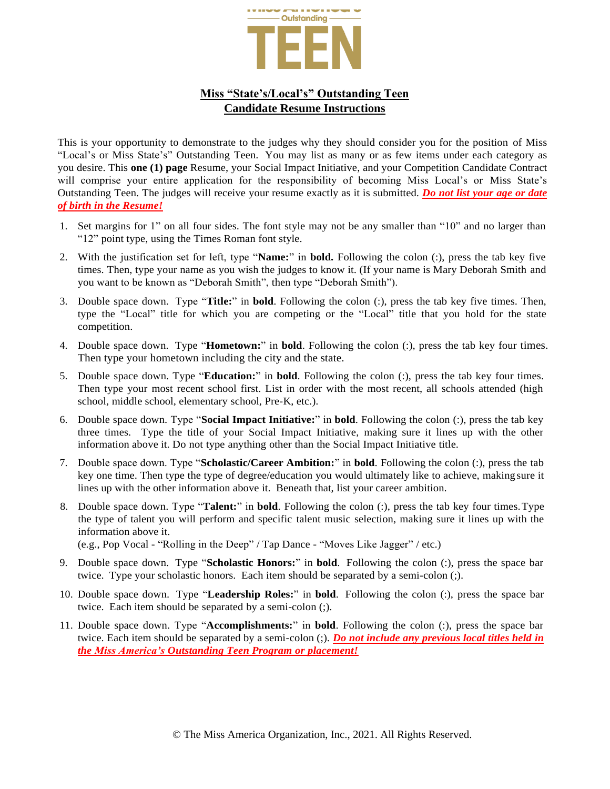

## **Miss "State's/Local's" Outstanding Teen Candidate Resume Instructions**

This is your opportunity to demonstrate to the judges why they should consider you for the position of Miss "Local's or Miss State's" Outstanding Teen. You may list as many or as few items under each category as you desire. This **one (1) page** Resume, your Social Impact Initiative, and your Competition Candidate Contract will comprise your entire application for the responsibility of becoming Miss Local's or Miss State's Outstanding Teen. The judges will receive your resume exactly as it is submitted. *Do not list your age or date of birth in the Resume!*

- 1. Set margins for 1" on all four sides. The font style may not be any smaller than "10" and no larger than "12" point type, using the Times Roman font style.
- 2. With the justification set for left, type "**Name:**" in **bold.** Following the colon (:), press the tab key five times. Then, type your name as you wish the judges to know it. (If your name is Mary Deborah Smith and you want to be known as "Deborah Smith", then type "Deborah Smith").
- 3. Double space down. Type "**Title:**" in **bold**. Following the colon (:), press the tab key five times. Then, type the "Local" title for which you are competing or the "Local" title that you hold for the state competition.
- 4. Double space down. Type "**Hometown:**" in **bold**. Following the colon (:), press the tab key four times. Then type your hometown including the city and the state.
- 5. Double space down. Type "**Education:**" in **bold**. Following the colon (:), press the tab key four times. Then type your most recent school first. List in order with the most recent, all schools attended (high school, middle school, elementary school, Pre-K, etc.).
- 6. Double space down. Type "**Social Impact Initiative:**" in **bold**. Following the colon (:), press the tab key three times. Type the title of your Social Impact Initiative, making sure it lines up with the other information above it. Do not type anything other than the Social Impact Initiative title.
- 7. Double space down. Type "**Scholastic/Career Ambition:**" in **bold**. Following the colon (:), press the tab key one time. Then type the type of degree/education you would ultimately like to achieve, makingsure it lines up with the other information above it. Beneath that, list your career ambition.
- 8. Double space down. Type "**Talent:**" in **bold**. Following the colon (:), press the tab key four times.Type the type of talent you will perform and specific talent music selection, making sure it lines up with the information above it.

(e.g., Pop Vocal - "Rolling in the Deep" / Tap Dance - "Moves Like Jagger" / etc.)

- 9. Double space down. Type "**Scholastic Honors:**" in **bold**. Following the colon (:), press the space bar twice. Type your scholastic honors. Each item should be separated by a semi-colon (;).
- 10. Double space down. Type "**Leadership Roles:**" in **bold**. Following the colon (:), press the space bar twice. Each item should be separated by a semi-colon (;).
- 11. Double space down. Type "**Accomplishments:**" in **bold**. Following the colon (:), press the space bar twice. Each item should be separated by a semi-colon (;). *Do not include any previous local titles held in the Miss America's Outstanding Teen Program or placement!*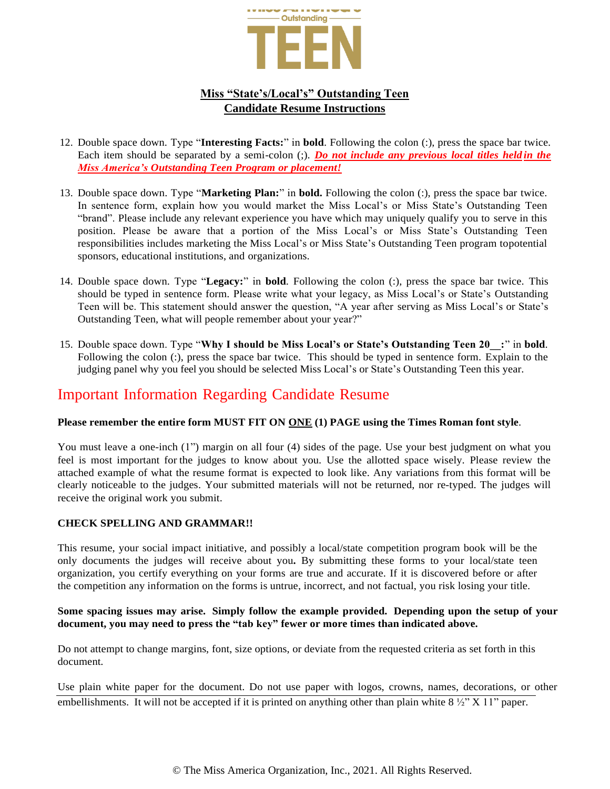

## **Miss "State's/Local's" Outstanding Teen Candidate Resume Instructions**

- 12. Double space down. Type "**Interesting Facts:**" in **bold**. Following the colon (:), press the space bar twice. Each item should be separated by a semi-colon (;). *Do not include any previous local titles held in the Miss America's Outstanding Teen Program or placement!*
- 13. Double space down. Type "**Marketing Plan:**" in **bold.** Following the colon (:), press the space bar twice. In sentence form, explain how you would market the Miss Local's or Miss State's Outstanding Teen "brand". Please include any relevant experience you have which may uniquely qualify you to serve in this position. Please be aware that a portion of the Miss Local's or Miss State's Outstanding Teen responsibilities includes marketing the Miss Local's or Miss State's Outstanding Teen program topotential sponsors, educational institutions, and organizations.
- 14. Double space down. Type "**Legacy:**" in **bold**. Following the colon (:), press the space bar twice. This should be typed in sentence form. Please write what your legacy, as Miss Local's or State's Outstanding Teen will be. This statement should answer the question, "A year after serving as Miss Local's or State's Outstanding Teen, what will people remember about your year?"
- 15. Double space down. Type "**Why I should be Miss Local's or State's Outstanding Teen 20\_\_:**" in **bold**. Following the colon (:), press the space bar twice. This should be typed in sentence form. Explain to the judging panel why you feel you should be selected Miss Local's or State's Outstanding Teen this year.

# Important Information Regarding Candidate Resume

### **Please remember the entire form MUST FIT ON ONE (1) PAGE using the Times Roman font style**.

You must leave a one-inch (1") margin on all four (4) sides of the page. Use your best judgment on what you feel is most important for the judges to know about you. Use the allotted space wisely. Please review the attached example of what the resume format is expected to look like. Any variations from this format will be clearly noticeable to the judges. Your submitted materials will not be returned, nor re-typed. The judges will receive the original work you submit.

### **CHECK SPELLING AND GRAMMAR!!**

This resume, your social impact initiative, and possibly a local/state competition program book will be the only documents the judges will receive about you**.** By submitting these forms to your local/state teen organization, you certify everything on your forms are true and accurate. If it is discovered before or after the competition any information on the forms is untrue, incorrect, and not factual, you risk losing your title.

#### **Some spacing issues may arise. Simply follow the example provided. Depending upon the setup of your document, you may need to press the "tab key" fewer or more times than indicated above.**

Do not attempt to change margins, font, size options, or deviate from the requested criteria as set forth in this document.

Use plain white paper for the document. Do not use paper with logos, crowns, names, decorations, or other embellishments. It will not be accepted if it is printed on anything other than plain white  $8\frac{1}{2}$ " X 11" paper.